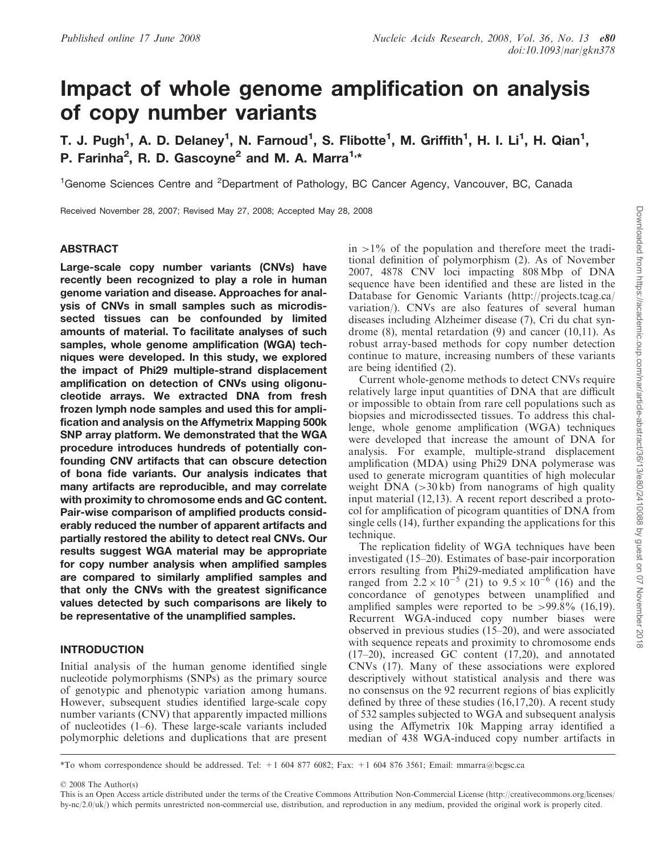# Impact of whole genome amplification on analysis of copy number variants

T. J. Pugh<sup>1</sup>, A. D. Delaney<sup>1</sup>, N. Farnoud<sup>1</sup>, S. Flibotte<sup>1</sup>, M. Griffith<sup>1</sup>, H. I. Li<sup>1</sup>, H. Qian<sup>1</sup>, P. Farinha<sup>2</sup>, R. D. Gascoyne<sup>2</sup> and M. A. Marra<sup>1,\*</sup>

<sup>1</sup>Genome Sciences Centre and <sup>2</sup>Department of Pathology, BC Cancer Agency, Vancouver, BC, Canada

Received November 28, 2007; Revised May 27, 2008; Accepted May 28, 2008

## ABSTRACT

Large-scale copy number variants (CNVs) have recently been recognized to play a role in human genome variation and disease. Approaches for analysis of CNVs in small samples such as microdissected tissues can be confounded by limited amounts of material. To facilitate analyses of such samples, whole genome amplification (WGA) techniques were developed. In this study, we explored the impact of Phi29 multiple-strand displacement amplification on detection of CNVs using oligonucleotide arrays. We extracted DNA from fresh frozen lymph node samples and used this for amplification and analysis on the Affymetrix Mapping 500k SNP array platform. We demonstrated that the WGA procedure introduces hundreds of potentially confounding CNV artifacts that can obscure detection of bona fide variants. Our analysis indicates that many artifacts are reproducible, and may correlate with proximity to chromosome ends and GC content. Pair-wise comparison of amplified products considerably reduced the number of apparent artifacts and partially restored the ability to detect real CNVs. Our results suggest WGA material may be appropriate for copy number analysis when amplified samples are compared to similarly amplified samples and that only the CNVs with the greatest significance values detected by such comparisons are likely to be representative of the unamplified samples.

# INTRODUCTION

Initial analysis of the human genome identified single nucleotide polymorphisms (SNPs) as the primary source of genotypic and phenotypic variation among humans. However, subsequent studies identified large-scale copy number variants (CNV) that apparently impacted millions of nucleotides (1–6). These large-scale variants included polymorphic deletions and duplications that are present  $in >1\%$  of the population and therefore meet the traditional definition of polymorphism (2). As of November 2007, 4878 CNV loci impacting 808 Mbp of DNA sequence have been identified and these are listed in the Database for Genomic Variants (http://projects.tcag.ca/ variation/). CNVs are also features of several human diseases including Alzheimer disease (7), Cri du chat syndrome (8), mental retardation (9) and cancer (10,11). As robust array-based methods for copy number detection continue to mature, increasing numbers of these variants are being identified (2).

Current whole-genome methods to detect CNVs require relatively large input quantities of DNA that are difficult or impossible to obtain from rare cell populations such as biopsies and microdissected tissues. To address this challenge, whole genome amplification (WGA) techniques were developed that increase the amount of DNA for analysis. For example, multiple-strand displacement amplification (MDA) using Phi29 DNA polymerase was used to generate microgram quantities of high molecular weight DNA  $(>30 \text{ kb})$  from nanograms of high quality input material (12,13). A recent report described a protocol for amplification of picogram quantities of DNA from single cells (14), further expanding the applications for this technique.

The replication fidelity of WGA techniques have been investigated (15–20). Estimates of base-pair incorporation errors resulting from Phi29-mediated amplification have ranged from  $2.2 \times 10^{-5}$  (21) to  $9.5 \times 10^{-6}$  (16) and the concordance of genotypes between unamplified and amplified samples were reported to be  $>99.8\%$  (16,19). Recurrent WGA-induced copy number biases were observed in previous studies (15–20), and were associated with sequence repeats and proximity to chromosome ends (17–20), increased GC content (17,20), and annotated CNVs (17). Many of these associations were explored descriptively without statistical analysis and there was no consensus on the 92 recurrent regions of bias explicitly defined by three of these studies (16,17,20). A recent study of 532 samples subjected to WGA and subsequent analysis using the Affymetrix 10k Mapping array identified a median of 438 WGA-induced copy number artifacts in

\*To whom correspondence should be addressed. Tel: +1 604 877 6082; Fax: +1 604 876 3561; Email: mmarra@bcgsc.ca

2008 The Author(s)

This is an Open Access article distributed under the terms of the Creative Commons Attribution Non-Commercial License (http://creativecommons.org/licenses/ by-nc/2.0/uk/) which permits unrestricted non-commercial use, distribution, and reproduction in any medium, provided the original work is properly cited.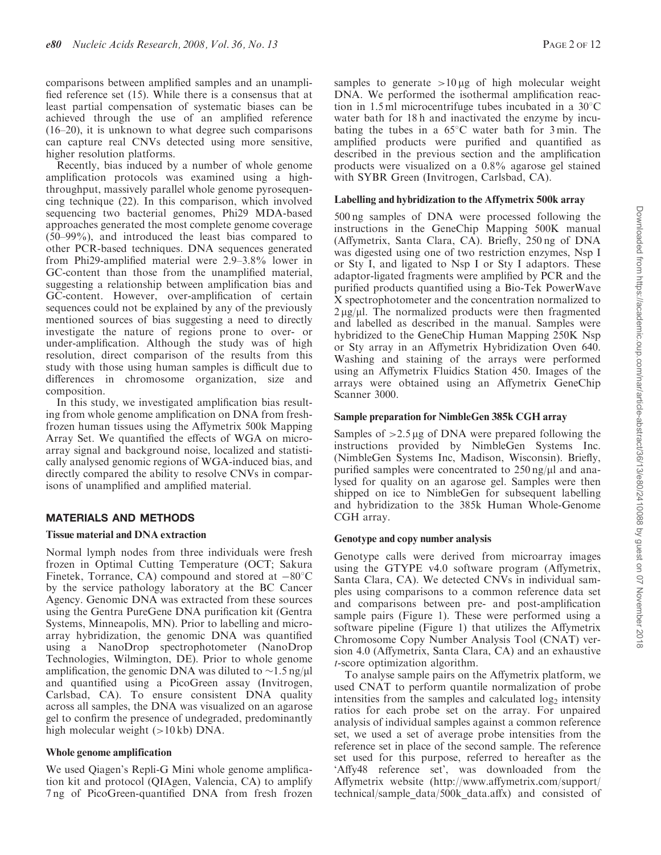comparisons between amplified samples and an unamplified reference set (15). While there is a consensus that at least partial compensation of systematic biases can be achieved through the use of an amplified reference (16–20), it is unknown to what degree such comparisons can capture real CNVs detected using more sensitive, higher resolution platforms.

Recently, bias induced by a number of whole genome amplification protocols was examined using a highthroughput, massively parallel whole genome pyrosequencing technique (22). In this comparison, which involved sequencing two bacterial genomes, Phi29 MDA-based approaches generated the most complete genome coverage (50–99%), and introduced the least bias compared to other PCR-based techniques. DNA sequences generated from Phi29-amplified material were 2.9–3.8% lower in GC-content than those from the unamplified material, suggesting a relationship between amplification bias and GC-content. However, over-amplification of certain sequences could not be explained by any of the previously mentioned sources of bias suggesting a need to directly investigate the nature of regions prone to over- or under-amplification. Although the study was of high resolution, direct comparison of the results from this study with those using human samples is difficult due to differences in chromosome organization, size and composition.

In this study, we investigated amplification bias resulting from whole genome amplification on DNA from freshfrozen human tissues using the Affymetrix 500k Mapping Array Set. We quantified the effects of WGA on microarray signal and background noise, localized and statistically analysed genomic regions of WGA-induced bias, and directly compared the ability to resolve CNVs in comparisons of unamplified and amplified material.

# MATERIALS AND METHODS

## Tissue material and DNA extraction

Normal lymph nodes from three individuals were fresh frozen in Optimal Cutting Temperature (OCT; Sakura Finetek, Torrance, CA) compound and stored at  $-80^{\circ}$ C by the service pathology laboratory at the BC Cancer Agency. Genomic DNA was extracted from these sources using the Gentra PureGene DNA purification kit (Gentra Systems, Minneapolis, MN). Prior to labelling and microarray hybridization, the genomic DNA was quantified using a NanoDrop spectrophotometer (NanoDrop Technologies, Wilmington, DE). Prior to whole genome amplification, the genomic DNA was diluted to  $\sim$ 1.5 ng/ $\mu$ l and quantified using a PicoGreen assay (Invitrogen, Carlsbad, CA). To ensure consistent DNA quality across all samples, the DNA was visualized on an agarose gel to confirm the presence of undegraded, predominantly high molecular weight (>10 kb) DNA.

## Whole genome amplification

We used Qiagen's Repli-G Mini whole genome amplification kit and protocol (QIAgen, Valencia, CA) to amplify 7 ng of PicoGreen-quantified DNA from fresh frozen samples to generate  $>10 \mu g$  of high molecular weight DNA. We performed the isothermal amplification reaction in 1.5 ml microcentrifuge tubes incubated in a  $30^{\circ}$ C water bath for 18 h and inactivated the enzyme by incubating the tubes in a  $65^{\circ}$ C water bath for 3 min. The amplified products were purified and quantified as described in the previous section and the amplification products were visualized on a 0.8% agarose gel stained with SYBR Green (Invitrogen, Carlsbad, CA).

# Labelling and hybridization to the Affymetrix 500k array

500 ng samples of DNA were processed following the instructions in the GeneChip Mapping 500K manual (Affymetrix, Santa Clara, CA). Briefly, 250 ng of DNA was digested using one of two restriction enzymes, Nsp I or Sty I, and ligated to Nsp I or Sty I adaptors. These adaptor-ligated fragments were amplified by PCR and the purified products quantified using a Bio-Tek PowerWave X spectrophotometer and the concentration normalized to  $2 \mu g/\mu$ l. The normalized products were then fragmented and labelled as described in the manual. Samples were hybridized to the GeneChip Human Mapping 250K Nsp or Sty array in an Affymetrix Hybridization Oven 640. Washing and staining of the arrays were performed using an Affymetrix Fluidics Station 450. Images of the arrays were obtained using an Affymetrix GeneChip Scanner 3000.

## Sample preparation for NimbleGen 385k CGH array

Samples of  $>2.5 \mu g$  of DNA were prepared following the instructions provided by NimbleGen Systems Inc. (NimbleGen Systems Inc, Madison, Wisconsin). Briefly, purified samples were concentrated to  $250$  ng/ $\mu$ l and analysed for quality on an agarose gel. Samples were then shipped on ice to NimbleGen for subsequent labelling and hybridization to the 385k Human Whole-Genome CGH array.

## Genotype and copy number analysis

Genotype calls were derived from microarray images using the GTYPE v4.0 software program (Affymetrix, Santa Clara, CA). We detected CNVs in individual samples using comparisons to a common reference data set and comparisons between pre- and post-amplification sample pairs (Figure 1). These were performed using a software pipeline (Figure 1) that utilizes the Affymetrix Chromosome Copy Number Analysis Tool (CNAT) version 4.0 (Affymetrix, Santa Clara, CA) and an exhaustive t-score optimization algorithm.

To analyse sample pairs on the Affymetrix platform, we used CNAT to perform quantile normalization of probe intensities from the samples and calculated  $log<sub>2</sub>$  intensity ratios for each probe set on the array. For unpaired analysis of individual samples against a common reference set, we used a set of average probe intensities from the reference set in place of the second sample. The reference set used for this purpose, referred to hereafter as the 'Affy48 reference set', was downloaded from the Affymetrix website (http://www.affymetrix.com/support/ technical/sample\_data/500k\_data.affx) and consisted of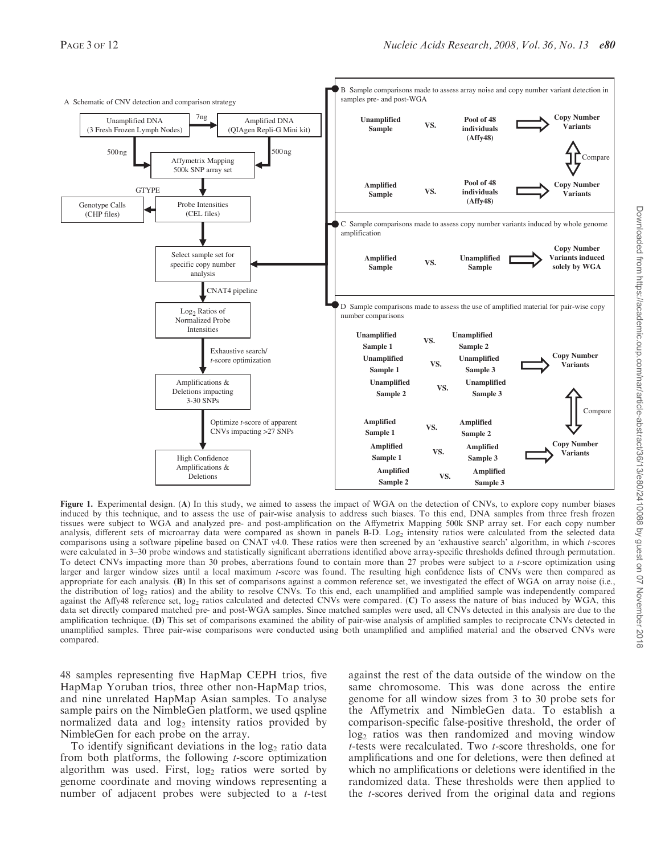

Figure 1. Experimental design. (A) In this study, we aimed to assess the impact of WGA on the detection of CNVs, to explore copy number biases induced by this technique, and to assess the use of pair-wise analysis to address such biases. To this end, DNA samples from three fresh frozen tissues were subject to WGA and analyzed pre- and post-amplification on the Affymetrix Mapping 500k SNP array set. For each copy number analysis, different sets of microarray data were compared as shown in panels B-D. Log<sub>2</sub> intensity ratios were calculated from the selected data comparisons using a software pipeline based on CNAT v4.0. These ratios were then screened by an 'exhaustive search' algorithm, in which t-scores were calculated in 3–30 probe windows and statistically significant aberrations identified above array-specific thresholds defined through permutation. To detect CNVs impacting more than 30 probes, aberrations found to contain more than 27 probes were subject to a t-score optimization using larger and larger window sizes until a local maximum t-score was found. The resulting high confidence lists of CNVs were then compared as appropriate for each analysis. (B) In this set of comparisons against a common reference set, we investigated the effect of WGA on array noise (i.e., the distribution of log<sub>2</sub> ratios) and the ability to resolve CNVs. To this end, each unamplified and amplified sample was independently compared against the Affy48 reference set, log<sub>2</sub> ratios calculated and detected CNVs were compared. (C) To assess the nature of bias induced by WGA, this data set directly compared matched pre- and post-WGA samples. Since matched samples were used, all CNVs detected in this analysis are due to the amplification technique. (D) This set of comparisons examined the ability of pair-wise analysis of amplified samples to reciprocate CNVs detected in unamplified samples. Three pair-wise comparisons were conducted using both unamplified and amplified material and the observed CNVs were compared.

48 samples representing five HapMap CEPH trios, five HapMap Yoruban trios, three other non-HapMap trios, and nine unrelated HapMap Asian samples. To analyse sample pairs on the NimbleGen platform, we used qspline normalized data and log<sub>2</sub> intensity ratios provided by NimbleGen for each probe on the array.

To identify significant deviations in the  $log<sub>2</sub>$  ratio data from both platforms, the following  $t$ -score optimization algorithm was used. First,  $log<sub>2</sub>$  ratios were sorted by genome coordinate and moving windows representing a number of adjacent probes were subjected to a t-test against the rest of the data outside of the window on the same chromosome. This was done across the entire genome for all window sizes from 3 to 30 probe sets for the Affymetrix and NimbleGen data. To establish a comparison-specific false-positive threshold, the order of  $\log_2$  ratios was then randomized and moving window t-tests were recalculated. Two t-score thresholds, one for amplifications and one for deletions, were then defined at which no amplifications or deletions were identified in the randomized data. These thresholds were then applied to the t-scores derived from the original data and regions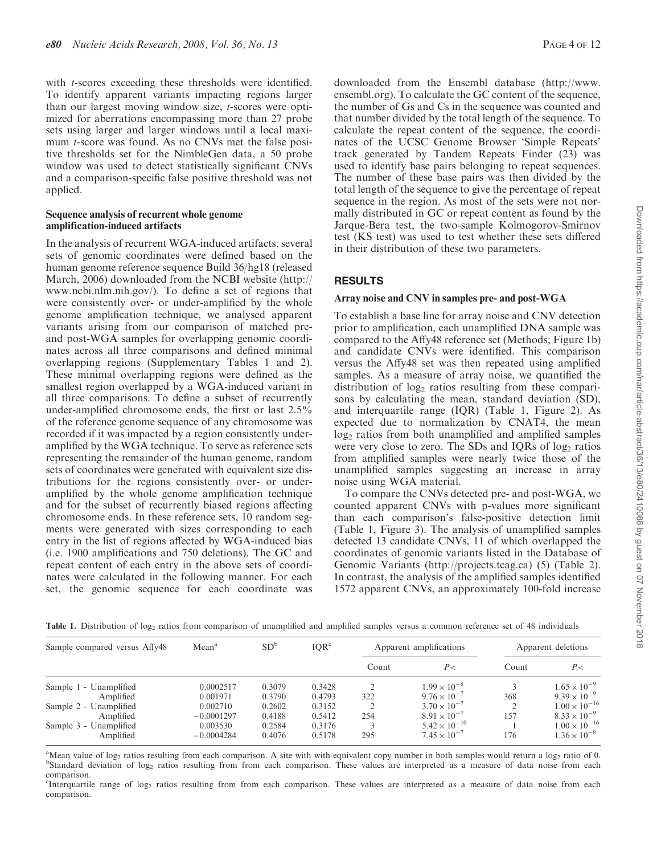with *t*-scores exceeding these thresholds were identified. To identify apparent variants impacting regions larger than our largest moving window size, t-scores were optimized for aberrations encompassing more than 27 probe sets using larger and larger windows until a local maximum t-score was found. As no CNVs met the false positive thresholds set for the NimbleGen data, a 50 probe window was used to detect statistically significant CNVs and a comparison-specific false positive threshold was not applied.

### Sequence analysis of recurrent whole genome amplification-induced artifacts

In the analysis of recurrent WGA-induced artifacts, several sets of genomic coordinates were defined based on the human genome reference sequence Build 36/hg18 (released March, 2006) downloaded from the NCBI website (http:// www.ncbi.nlm.nih.gov/). To define a set of regions that were consistently over- or under-amplified by the whole genome amplification technique, we analysed apparent variants arising from our comparison of matched preand post-WGA samples for overlapping genomic coordinates across all three comparisons and defined minimal overlapping regions (Supplementary Tables 1 and 2). These minimal overlapping regions were defined as the smallest region overlapped by a WGA-induced variant in all three comparisons. To define a subset of recurrently under-amplified chromosome ends, the first or last 2.5% of the reference genome sequence of any chromosome was recorded if it was impacted by a region consistently underamplified by the WGA technique. To serve as reference sets representing the remainder of the human genome, random sets of coordinates were generated with equivalent size distributions for the regions consistently over- or underamplified by the whole genome amplification technique and for the subset of recurrently biased regions affecting chromosome ends. In these reference sets, 10 random segments were generated with sizes corresponding to each entry in the list of regions affected by WGA-induced bias (i.e. 1900 amplifications and 750 deletions). The GC and repeat content of each entry in the above sets of coordinates were calculated in the following manner. For each set, the genomic sequence for each coordinate was

downloaded from the Ensembl database (http://www. ensembl.org). To calculate the GC content of the sequence, the number of Gs and Cs in the sequence was counted and that number divided by the total length of the sequence. To calculate the repeat content of the sequence, the coordinates of the UCSC Genome Browser 'Simple Repeats' track generated by Tandem Repeats Finder (23) was used to identify base pairs belonging to repeat sequences. The number of these base pairs was then divided by the total length of the sequence to give the percentage of repeat sequence in the region. As most of the sets were not normally distributed in GC or repeat content as found by the Jarque-Bera test, the two-sample Kolmogorov-Smirnov test (KS test) was used to test whether these sets differed in their distribution of these two parameters.

# RESULTS

# Array noise and CNV in samples pre- and post-WGA

To establish a base line for array noise and CNV detection prior to amplification, each unamplified DNA sample was compared to the Affy48 reference set (Methods; Figure 1b) and candidate CNVs were identified. This comparison versus the Affy48 set was then repeated using amplified samples. As a measure of array noise, we quantified the distribution of  $log<sub>2</sub>$  ratios resulting from these comparisons by calculating the mean, standard deviation (SD), and interquartile range (IQR) (Table 1, Figure 2). As expected due to normalization by CNAT4, the mean log<sub>2</sub> ratios from both unamplified and amplified samples were very close to zero. The SDs and IQRs of  $log<sub>2</sub>$  ratios from amplified samples were nearly twice those of the unamplified samples suggesting an increase in array noise using WGA material.

To compare the CNVs detected pre- and post-WGA, we counted apparent CNVs with p-values more significant than each comparison's false-positive detection limit (Table 1, Figure 3). The analysis of unamplified samples detected 13 candidate CNVs, 11 of which overlapped the coordinates of genomic variants listed in the Database of Genomic Variants (http://projects.tcag.ca) (5) (Table 2). In contrast, the analysis of the amplified samples identified 1572 apparent CNVs, an approximately 100-fold increase

Table 1. Distribution of log<sub>2</sub> ratios from comparison of unamplified and amplified samples versus a common reference set of 48 individuals

| Sample compared versus Affy48 | Mean <sup>a</sup> | SD <sup>b</sup> | IOR <sup>c</sup> |               | Apparent amplifications | Apparent deletions |                        |  |
|-------------------------------|-------------------|-----------------|------------------|---------------|-------------------------|--------------------|------------------------|--|
|                               |                   |                 |                  | Count         | $P$ $<$                 | Count              | P<                     |  |
| Sample 1 - Unamplified        | 0.0002517         | 0.3079          | 0.3428           |               | $1.99 \times 10^{-8}$   |                    | $1.65 \times 10^{-9}$  |  |
| Amplified                     | 0.001971          | 0.3790          | 0.4793           | 322           | $9.76 \times 10^{-7}$   | 368                | $9.39 \times 10^{-9}$  |  |
| Sample 2 - Unamplified        | 0.002710          | 0.2602          | 0.3152           | $\mathcal{D}$ | $3.70 \times 10^{-7}$   |                    | $1.00 \times 10^{-16}$ |  |
| Amplified                     | $-0.0001297$      | 0.4188          | 0.5412           | 254           | $8.91 \times 10^{-7}$   | 157                | $8.33 \times 10^{-9}$  |  |
| Sample 3 - Unamplified        | 0.003530          | 0.2584          | 0.3176           |               | $5.42 \times 10^{-10}$  |                    | $1.00 \times 10^{-16}$ |  |
| Amplified                     | $-0.0004284$      | 0.4076          | 0.5178           | 295           | $7.45 \times 10^{-7}$   | 176                | $1.36 \times 10^{-8}$  |  |

<sup>a</sup>Mean value of log<sub>2</sub> ratios resulting from each comparison. A site with with equivalent copy number in both samples would return a log<sub>2</sub> ratio of 0.<br><sup>b</sup>Standard deviation of log<sub>1</sub> ratios resulting from from each comp <sup>b</sup>Standard deviation of log<sub>2</sub> ratios resulting from from each comparison. These values are interpreted as a measure of data noise from each comparison.

<sup>c</sup>Interquartile range of log<sub>2</sub> ratios resulting from from each comparison. These values are interpreted as a measure of data noise from each comparison.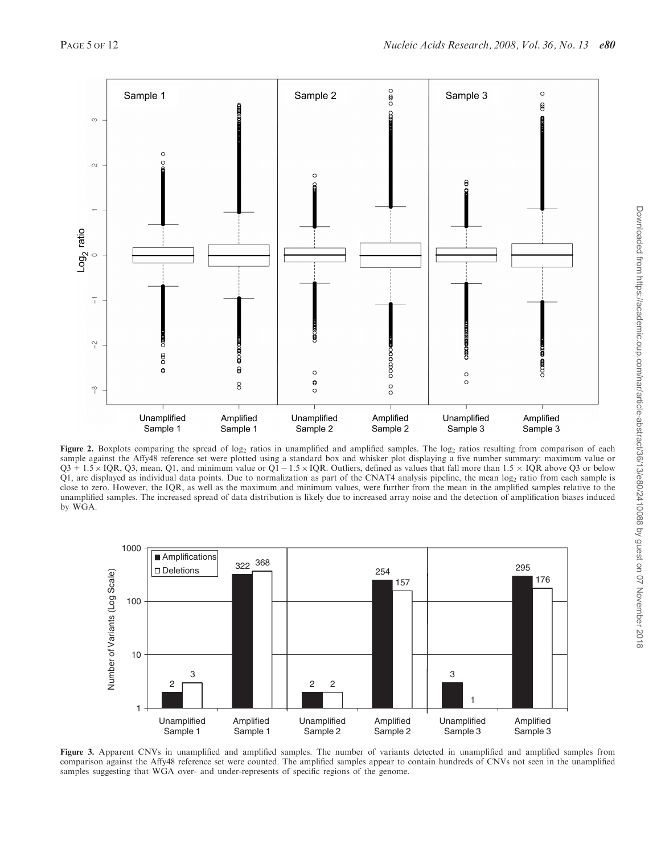

Figure 2. Boxplots comparing the spread of log<sub>2</sub> ratios in unamplified and amplified samples. The log<sub>2</sub> ratios resulting from comparison of each sample against the Affy48 reference set were plotted using a standard box and whisker plot displaying a five number summary: maximum value or  $Q3 + 1.5 \times IQR$ ,  $Q3$ , mean, Q1, and minimum value or  $Q1 - 1.5 \times IQR$ . Outliers, defined as values that fall more than  $1.5 \times IQR$  above Q3 or below Q1, are displayed as individual data points. Due to normalization as part of the CNAT4 analysis pipeline, the mean log2 ratio from each sample is close to zero. However, the IQR, as well as the maximum and minimum values, were further from the mean in the amplified samples relative to the unamplified samples. The increased spread of data distribution is likely due to increased array noise and the detection of amplification biases induced by WGA.



Figure 3. Apparent CNVs in unamplified and amplified samples. The number of variants detected in unamplified and amplified samples from comparison against the Affy48 reference set were counted. The amplified samples appear to contain hundreds of CNVs not seen in the unamplified samples suggesting that WGA over- and under-represents of specific regions of the genome.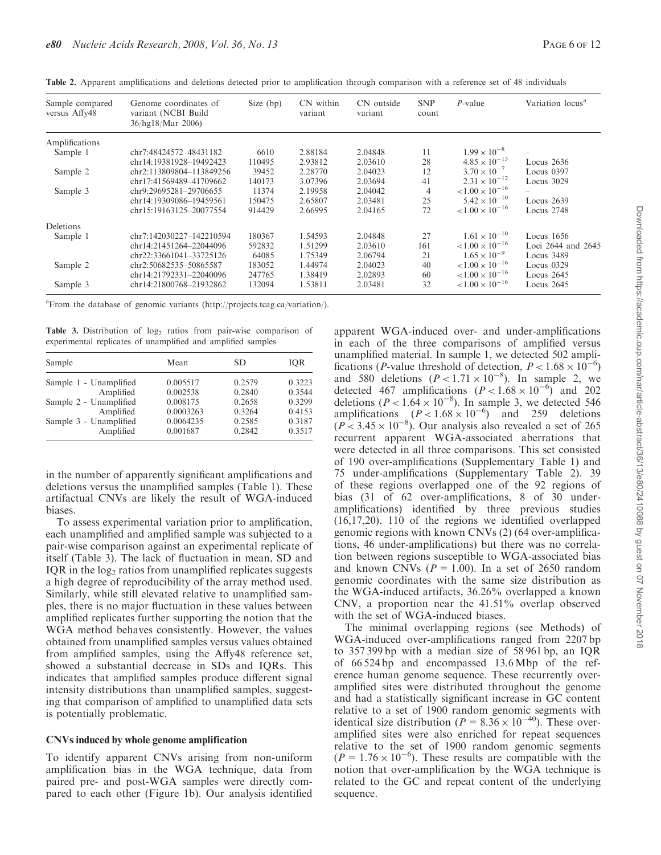| Sample compared<br>versus Affy48 | Genome coordinates of<br>variant (NCBI Build<br>36/hg18/Mar 2006) | Size $(bp)$ | CN within<br>variant | CN outside<br>variant | <b>SNP</b><br>count | $P$ -value               | Variation locus <sup>a</sup> |
|----------------------------------|-------------------------------------------------------------------|-------------|----------------------|-----------------------|---------------------|--------------------------|------------------------------|
| Amplifications                   |                                                                   |             |                      |                       |                     |                          |                              |
| Sample 1                         | chr7:48424572-48431182                                            | 6610        | 2.88184              | 2.04848               | 11                  | $1.99 \times 10^{-8}$    |                              |
|                                  | chr14:19381928-19492423                                           | 110495      | 2.93812              | 2.03610               | 28                  | $4.85 \times 10^{-13}$   | Locus $2636$                 |
| Sample 2                         | chr2:113809804-113849256                                          | 39452       | 2.28770              | 2.04023               | 12                  | $3.70 \times 10^{-7}$    | Locus 0397                   |
|                                  | chr17:41569489-41709662                                           | 140173      | 3.07396              | 2.03694               | 41                  | $2.31 \times 10^{-12}$   | Locus 3029                   |
| Sample 3                         | chr9:29695281-29706655                                            | 11374       | 2.19958              | 2.04042               | $\overline{4}$      | $< 1.00 \times 10^{-16}$ |                              |
|                                  | chr14:19309086-19459561                                           | 150475      | 2.65807              | 2.03481               | 25                  | $5.42 \times 10^{-10}$   | Locus $2639$                 |
|                                  | chr15:19163125-20077554                                           | 914429      | 2.66995              | 2.04165               | 72                  | $< 1.00 \times 10^{-16}$ | Locus 2748                   |
| Deletions                        |                                                                   |             |                      |                       |                     |                          |                              |
| Sample 1                         | chr7:142030227-142210594                                          | 180367      | 1.54593              | 2.04848               | 27                  | $1.61 \times 10^{-10}$   | Locus $1656$                 |
|                                  | chr14:21451264-22044096                                           | 592832      | 1.51299              | 2.03610               | 161                 | $< 1.00 \times 10^{-16}$ | Loci 2644 and 2645           |
|                                  | chr22:33661041-33725126                                           | 64085       | 1.75349              | 2.06794               | 21                  | $1.65 \times 10^{-9}$    | Locus 3489                   |
| Sample 2                         | chr2:50682535-50865587                                            | 183052      | 1.44974              | 2.04023               | 40                  | $< 1.00 \times 10^{-16}$ | Locus 0329                   |
|                                  | chr14:21792331-22040096                                           | 247765      | 1.38419              | 2.02893               | 60                  | $< 1.00 \times 10^{-16}$ | Locus 2645                   |
| Sample 3                         | chr14:21800768-21932862                                           | 132094      | 1.53811              | 2.03481               | 32                  | ${1.00 \times 10^{-16}}$ | Locus $2645$                 |

Table 2. Apparent amplifications and deletions detected prior to amplification through comparison with a reference set of 48 individuals

<sup>a</sup> From the database of genomic variants (http://projects.tcag.ca/variation/).

Table 3. Distribution of  $log<sub>2</sub>$  ratios from pair-wise comparison of experimental replicates of unamplified and amplified samples

| Sample                 | Mean      | SD.    | <b>IOR</b> |
|------------------------|-----------|--------|------------|
| Sample 1 - Unamplified | 0.005517  | 0.2579 | 0.3223     |
| Amplified              | 0.002538  | 0.2840 | 0.3544     |
| Sample 2 - Unamplified | 0.008175  | 0.2658 | 0.3299     |
| Amplified              | 0.0003263 | 0.3264 | 0.4153     |
| Sample 3 - Unamplified | 0.0064235 | 0.2585 | 0.3187     |
| Amplified              | 0.001687  | 0.2842 | 0.3517     |

in the number of apparently significant amplifications and deletions versus the unamplified samples (Table 1). These artifactual CNVs are likely the result of WGA-induced biases.

To assess experimental variation prior to amplification, each unamplified and amplified sample was subjected to a pair-wise comparison against an experimental replicate of itself (Table 3). The lack of fluctuation in mean, SD and IQR in the  $log<sub>2</sub>$  ratios from unamplified replicates suggests a high degree of reproducibility of the array method used. Similarly, while still elevated relative to unamplified samples, there is no major fluctuation in these values between amplified replicates further supporting the notion that the WGA method behaves consistently. However, the values obtained from unamplified samples versus values obtained from amplified samples, using the Affy48 reference set, showed a substantial decrease in SDs and IQRs. This indicates that amplified samples produce different signal intensity distributions than unamplified samples, suggesting that comparison of amplified to unamplified data sets is potentially problematic.

#### CNVs induced by whole genome amplification

To identify apparent CNVs arising from non-uniform amplification bias in the WGA technique, data from paired pre- and post-WGA samples were directly compared to each other (Figure 1b). Our analysis identified

apparent WGA-induced over- and under-amplifications in each of the three comparisons of amplified versus unamplified material. In sample 1, we detected 502 amplifications (*P*-value threshold of detection,  $P < 1.68 \times 10^{-6}$ ) and 580 deletions  $(P < 1.71 \times 10^{-8})$ . In sample 2, we detected 467 amplifications  $(P < 1.68 \times 10^{-6})^2$  and 202 deletions ( $P < 1.64 \times 10^{-8}$ ). In sample 3, we detected 546 amplifications  $(P < 1.68 \times 10^{-6})$  and 259 deletions  $(P < 3.45 \times 10^{-8})$ . Our analysis also revealed a set of 265 recurrent apparent WGA-associated aberrations that were detected in all three comparisons. This set consisted of 190 over-amplifications (Supplementary Table 1) and 75 under-amplifications (Supplementary Table 2). 39 of these regions overlapped one of the 92 regions of bias (31 of 62 over-amplifications, 8 of 30 underamplifications) identified by three previous studies (16,17,20). 110 of the regions we identified overlapped genomic regions with known CNVs (2) (64 over-amplifications, 46 under-amplifications) but there was no correlation between regions susceptible to WGA-associated bias and known CNVs ( $P = 1.00$ ). In a set of 2650 random genomic coordinates with the same size distribution as the WGA-induced artifacts, 36.26% overlapped a known CNV, a proportion near the 41.51% overlap observed with the set of WGA-induced biases.

The minimal overlapping regions (see Methods) of WGA-induced over-amplifications ranged from 2207 bp to 357 399 bp with a median size of 58 961 bp, an IQR of 66 524 bp and encompassed 13.6 Mbp of the reference human genome sequence. These recurrently overamplified sites were distributed throughout the genome and had a statistically significant increase in GC content relative to a set of 1900 random genomic segments with identical size distribution ( $P = 8.36 \times 10^{-40}$ ). These overamplified sites were also enriched for repeat sequences relative to the set of 1900 random genomic segments  $(P = 1.76 \times 10^{-6})$ . These results are compatible with the notion that over-amplification by the WGA technique is related to the GC and repeat content of the underlying sequence.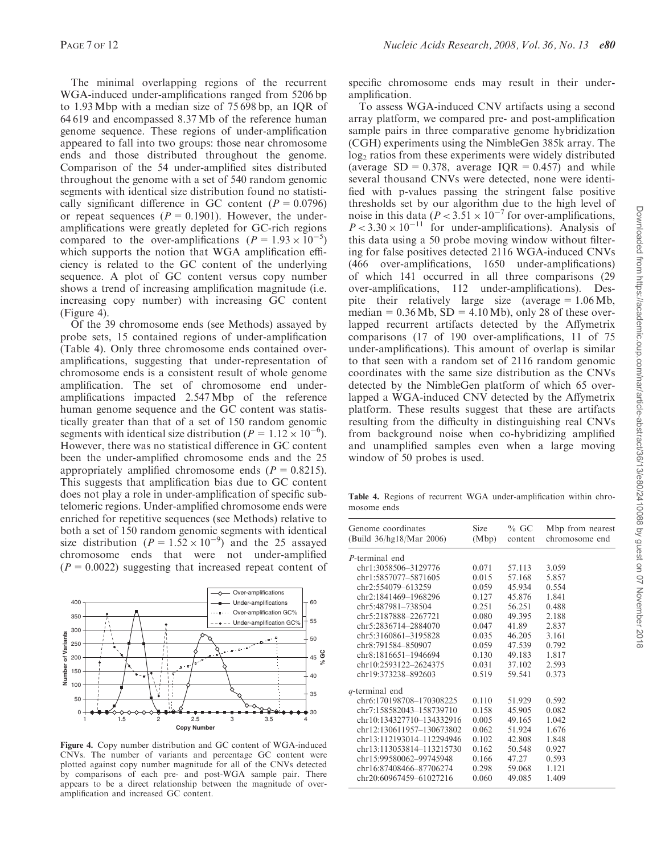The minimal overlapping regions of the recurrent WGA-induced under-amplifications ranged from 5206 bp to 1.93Mbp with a median size of 75 698 bp, an IQR of 64 619 and encompassed 8.37 Mb of the reference human genome sequence. These regions of under-amplification appeared to fall into two groups: those near chromosome ends and those distributed throughout the genome. Comparison of the 54 under-amplified sites distributed throughout the genome with a set of 540 random genomic segments with identical size distribution found no statistically significant difference in GC content ( $P = 0.0796$ ) or repeat sequences ( $P = 0.1901$ ). However, the underamplifications were greatly depleted for GC-rich regions compared to the over-amplifications ( $P = 1.93 \times 10^{-5}$ ) which supports the notion that WGA amplification efficiency is related to the GC content of the underlying sequence. A plot of GC content versus copy number shows a trend of increasing amplification magnitude (i.e. increasing copy number) with increasing GC content (Figure 4).

Of the 39 chromosome ends (see Methods) assayed by probe sets, 15 contained regions of under-amplification (Table 4). Only three chromosome ends contained overamplifications, suggesting that under-representation of chromosome ends is a consistent result of whole genome amplification. The set of chromosome end underamplifications impacted 2.547 Mbp of the reference human genome sequence and the GC content was statistically greater than that of a set of 150 random genomic segments with identical size distribution ( $P = 1.12 \times 10^{-6}$ ). However, there was no statistical difference in GC content been the under-amplified chromosome ends and the 25 appropriately amplified chromosome ends  $(P = 0.8215)$ . This suggests that amplification bias due to GC content does not play a role in under-amplification of specific subtelomeric regions. Under-amplified chromosome ends were enriched for repetitive sequences (see Methods) relative to both a set of 150 random genomic segments with identical size distribution ( $P = 1.52 \times 10^{-9}$ ) and the 25 assayed chromosome ends that were not under-amplified  $(P = 0.0022)$  suggesting that increased repeat content of



Figure 4. Copy number distribution and GC content of WGA-induced CNVs. The number of variants and percentage GC content were plotted against copy number magnitude for all of the CNVs detected by comparisons of each pre- and post-WGA sample pair. There appears to be a direct relationship between the magnitude of overamplification and increased GC content.

specific chromosome ends may result in their underamplification.

To assess WGA-induced CNV artifacts using a second array platform, we compared pre- and post-amplification sample pairs in three comparative genome hybridization (CGH) experiments using the NimbleGen 385k array. The log<sub>2</sub> ratios from these experiments were widely distributed (average  $SD = 0.378$ , average  $IOR = 0.457$ ) and while several thousand CNVs were detected, none were identified with p-values passing the stringent false positive thresholds set by our algorithm due to the high level of noise in this data ( $P < 3.51 \times 10^{-7}$  for over-amplifications,  $P < 3.30 \times 10^{-11}$  for under-amplifications). Analysis of this data using a 50 probe moving window without filtering for false positives detected 2116 WGA-induced CNVs (466 over-amplifications, 1650 under-amplifications) of which 141 occurred in all three comparisons (29 over-amplifications, 112 under-amplifications). Despite their relatively large size (average  $= 1.06 \text{ Mb}$ , median =  $0.36 \text{ Mb}$ , SD =  $4.10 \text{ Mb}$ ), only 28 of these overlapped recurrent artifacts detected by the Affymetrix comparisons (17 of 190 over-amplifications, 11 of 75 under-amplifications). This amount of overlap is similar to that seen with a random set of 2116 random genomic coordinates with the same size distribution as the CNVs detected by the NimbleGen platform of which 65 overlapped a WGA-induced CNV detected by the Affymetrix platform. These results suggest that these are artifacts resulting from the difficulty in distinguishing real CNVs from background noise when co-hybridizing amplified and unamplified samples even when a large moving window of 50 probes is used.

Table 4. Regions of recurrent WGA under-amplification within chromosome ends

| Genome coordinates<br>(Build 36/hg18/Mar 2006) | Size<br>(Mbp) | $%$ GC<br>content | Mbp from nearest<br>chromosome end |
|------------------------------------------------|---------------|-------------------|------------------------------------|
| P-terminal end                                 |               |                   |                                    |
| chr1:3058506-3129776                           | 0.071         | 57.113            | 3.059                              |
| chr1:5857077-5871605                           | 0.015         | 57.168            | 5.857                              |
| chr2:554079-613259                             | 0.059         | 45.934            | 0.554                              |
| chr2:1841469-1968296                           | 0.127         | 45.876            | 1.841                              |
| chr5:487981-738504                             | 0.251         | 56.251            | 0.488                              |
| chr5:2187888-2267721                           | 0.080         | 49.395            | 2.188                              |
| chr5:2836714-2884070                           | 0.047         | 41.89             | 2.837                              |
| chr5:3160861-3195828                           | 0.035         | 46.205            | 3.161                              |
| chr8:791584-850907                             | 0.059         | 47.539            | 0.792                              |
| chr8:1816651-1946694                           | 0.130         | 49.183            | 1.817                              |
| chr10:2593122-2624375                          | 0.031         | 37.102            | 2.593                              |
| chr19:373238-892603                            | 0.519         | 59.541            | 0.373                              |
| q-terminal end                                 |               |                   |                                    |
| chr6:170198708-170308225                       | 0.110         | 51.929            | 0.592                              |
| chr7:158582043-158739710                       | 0.158         | 45.905            | 0.082                              |
| chr10:134327710-134332916                      | 0.005         | 49.165            | 1.042                              |
| chr12:130611957-130673802                      | 0.062         | 51.924            | 1.676                              |
| chr13:112193014-112294946                      | 0.102         | 42.808            | 1.848                              |
| chr13:113053814–113215730                      | 0.162         | 50.548            | 0.927                              |
| chr15:99580062–99745948                        | 0.166         | 47.27             | 0.593                              |
| chr16:87408466-87706274                        | 0.298         | 59.068            | 1.121                              |
| chr20:60967459-61027216                        | 0.060         | 49.085            | 1.409                              |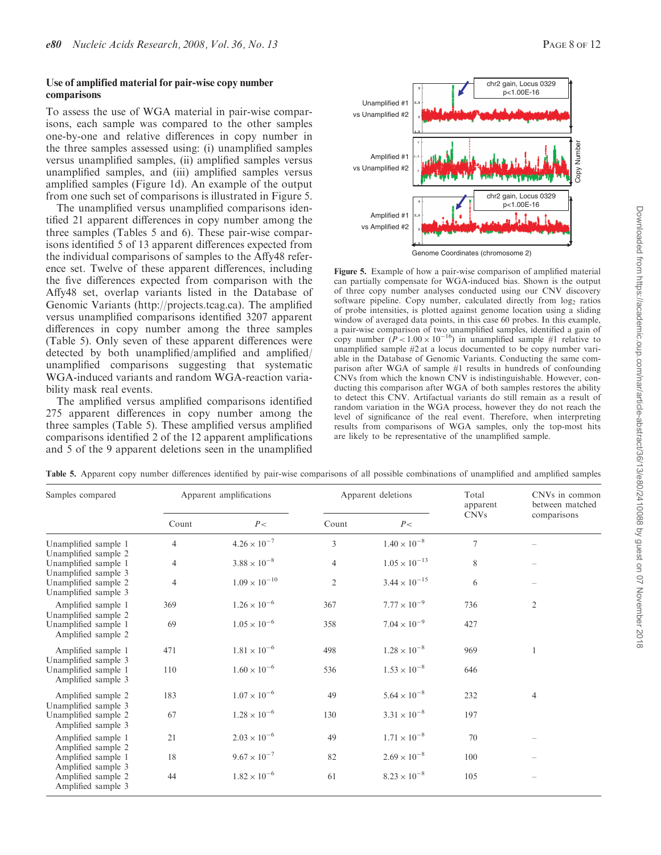## Use of amplified material for pair-wise copy number comparisons

To assess the use of WGA material in pair-wise comparisons, each sample was compared to the other samples one-by-one and relative differences in copy number in the three samples assessed using: (i) unamplified samples versus unamplified samples, (ii) amplified samples versus unamplified samples, and (iii) amplified samples versus amplified samples (Figure 1d). An example of the output from one such set of comparisons is illustrated in Figure 5.

The unamplified versus unamplified comparisons identified 21 apparent differences in copy number among the three samples (Tables 5 and 6). These pair-wise comparisons identified 5 of 13 apparent differences expected from the individual comparisons of samples to the Affy48 reference set. Twelve of these apparent differences, including the five differences expected from comparison with the Affy48 set, overlap variants listed in the Database of Genomic Variants (http://projects.tcag.ca). The amplified versus unamplified comparisons identified 3207 apparent differences in copy number among the three samples (Table 5). Only seven of these apparent differences were detected by both unamplified/amplified and amplified/ unamplified comparisons suggesting that systematic WGA-induced variants and random WGA-reaction variability mask real events.

The amplified versus amplified comparisons identified 275 apparent differences in copy number among the three samples (Table 5). These amplified versus amplified comparisons identified 2 of the 12 apparent amplifications and 5 of the 9 apparent deletions seen in the unamplified



Genome Coordinates (chromosome 2)

Figure 5. Example of how a pair-wise comparison of amplified material can partially compensate for WGA-induced bias. Shown is the output of three copy number analyses conducted using our CNV discovery software pipeline. Copy number, calculated directly from  $log_2$  ratios of probe intensities, is plotted against genome location using a sliding window of averaged data points, in this case 60 probes. In this example, a pair-wise comparison of two unamplified samples, identified a gain of copy number  $(P<1.00 \times 10^{-16})$  in unamplified sample #1 relative to unamplified sample #2 at a locus documented to be copy number variable in the Database of Genomic Variants. Conducting the same comparison after WGA of sample #1 results in hundreds of confounding CNVs from which the known CNV is indistinguishable. However, conducting this comparison after WGA of both samples restores the ability to detect this CNV. Artifactual variants do still remain as a result of random variation in the WGA process, however they do not reach the level of significance of the real event. Therefore, when interpreting results from comparisons of WGA samples, only the top-most hits are likely to be representative of the unamplified sample.

| Samples compared                                                     |                | Apparent amplifications |                | Apparent deletions     | Total<br>apparent | CNVs in common<br>between matched |
|----------------------------------------------------------------------|----------------|-------------------------|----------------|------------------------|-------------------|-----------------------------------|
|                                                                      | Count          | P<                      | Count          | P<                     | <b>CNVs</b>       | comparisons                       |
| Unamplified sample 1                                                 | 4              | $4.26 \times 10^{-7}$   | 3              | $1.40 \times 10^{-8}$  | $\overline{7}$    |                                   |
| Unamplified sample 2<br>Unamplified sample 1                         | $\overline{4}$ | $3.88 \times 10^{-8}$   | $\overline{4}$ | $1.05 \times 10^{-13}$ | 8                 |                                   |
| Unamplified sample 3<br>Unamplified sample 2<br>Unamplified sample 3 | $\overline{4}$ | $1.09\times10^{-10}$    | $\mathfrak{2}$ | $3.44 \times 10^{-15}$ | 6                 |                                   |
| Amplified sample 1<br>Unamplified sample 2                           | 369            | $1.26 \times 10^{-6}$   | 367            | $7.77 \times 10^{-9}$  | 736               | $\overline{c}$                    |
| Unamplified sample 1<br>Amplified sample 2                           | 69             | $1.05\times10^{-6}$     | 358            | $7.04 \times 10^{-9}$  | 427               |                                   |
| Amplified sample 1<br>Unamplified sample 3                           | 471            | $1.81 \times 10^{-6}$   | 498            | $1.28 \times 10^{-8}$  | 969               |                                   |
| Unamplified sample 1<br>Amplified sample 3                           | 110            | $1.60 \times 10^{-6}$   | 536            | $1.53 \times 10^{-8}$  | 646               |                                   |
| Amplified sample 2<br>Unamplified sample 3                           | 183            | $1.07 \times 10^{-6}$   | 49             | $5.64 \times 10^{-8}$  | 232               | $\overline{4}$                    |
| Unamplified sample 2<br>Amplified sample 3                           | 67             | $1.28 \times 10^{-6}$   | 130            | $3.31 \times 10^{-8}$  | 197               |                                   |
| Amplified sample 1<br>Amplified sample 2                             | 21             | $2.03 \times 10^{-6}$   | 49             | $1.71 \times 10^{-8}$  | 70                |                                   |
| Amplified sample 1<br>Amplified sample 3                             | 18             | $9.67 \times 10^{-7}$   | 82             | $2.69 \times 10^{-8}$  | 100               |                                   |
| Amplified sample 2<br>Amplified sample 3                             | 44             | $1.82 \times 10^{-6}$   | 61             | $8.23 \times 10^{-8}$  | 105               |                                   |

Table 5. Apparent copy number differences identified by pair-wise comparisons of all possible combinations of unamplified and amplified samples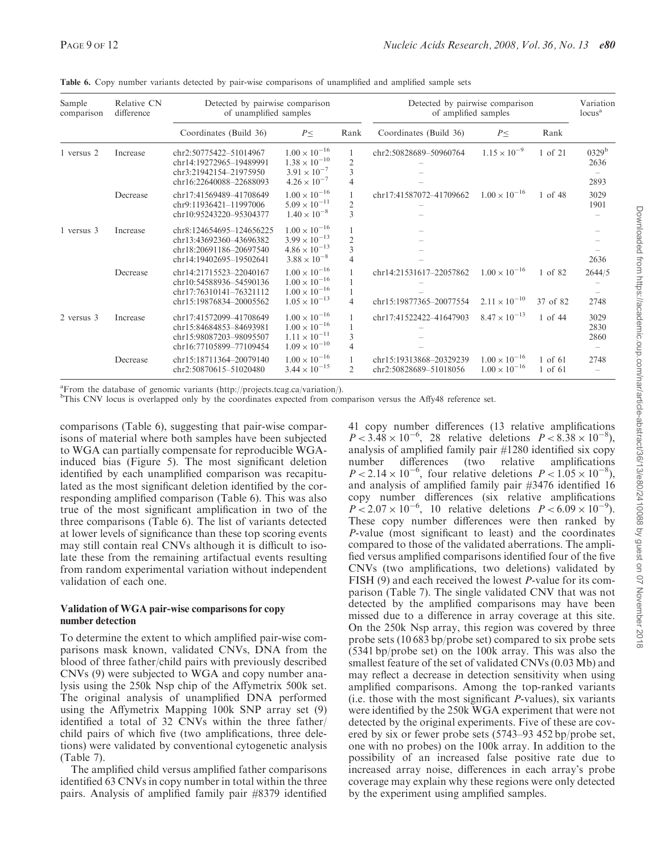| Sample<br>comparison | Relative CN<br>difference | Detected by pairwise comparison<br>of unamplified samples                                                 |                                                                                                      |                                                    | Detected by pairwise comparison<br>of amplified samples |                                                  |                     | Variation<br>locus <sup>a</sup> |
|----------------------|---------------------------|-----------------------------------------------------------------------------------------------------------|------------------------------------------------------------------------------------------------------|----------------------------------------------------|---------------------------------------------------------|--------------------------------------------------|---------------------|---------------------------------|
|                      |                           | Coordinates (Build 36)                                                                                    | $P \leq$                                                                                             | Rank                                               | Coordinates (Build 36)                                  | $P \leq$                                         | Rank                |                                 |
| 1 versus 2           | Increase                  | chr2:50775422-51014967<br>chr14:19272965-19489991<br>chr3:21942154-21975950<br>chr16:22640088-22688093    | $1.00 \times 10^{-16}$<br>$1.38 \times 10^{-10}$<br>$3.91 \times 10^{-7}$<br>$4.26 \times 10^{-7}$   | $\overline{2}$<br>3<br>$\overline{4}$              | chr2:50828689-50960764                                  | $1.15 \times 10^{-9}$                            | 1 of 21             | $0329^{\rm b}$<br>2636<br>2893  |
|                      | Decrease                  | chr17:41569489-41708649<br>chr9:11936421-11997006<br>chr10:95243220-95304377                              | $1.00 \times 10^{-16}$<br>$5.09 \times 10^{-11}$<br>$1.40 \times 10^{-8}$                            | $\overline{2}$<br>3                                | chr17:41587072-41709662                                 | $1.00 \times 10^{-16}$                           | 1 of 48             | 3029<br>1901                    |
| 1 versus 3           | Increase                  | chr8:124654695-124656225<br>chr13:43692360-43696382<br>chr18:20691186-20697540<br>chr14:19402695-19502641 | $1.00 \times 10^{-16}$<br>$3.99 \times 10^{-13}$<br>$4.86 \times 10^{-13}$<br>$3.88 \times 10^{-8}$  | $\overline{2}$<br>$\overline{3}$<br>$\overline{4}$ |                                                         |                                                  |                     | 2636                            |
|                      | Decrease                  | chr14:21715523-22040167<br>chr10:54588936-54590136<br>chr17:76310141-76321112<br>chr15:19876834-20005562  | $1.00 \times 10^{-16}$<br>$1.00 \times 10^{-16}$<br>$1.00 \times 10^{-16}$<br>$1.05 \times 10^{-13}$ | 4                                                  | chr14:21531617-22057862<br>chr15:19877365-20077554      | $1.00 \times 10^{-16}$<br>$2.11 \times 10^{-10}$ | 1 of 82<br>37 of 82 | 2644/5<br>2748                  |
| 2 versus 3           | Increase                  | chr17:41572099-41708649<br>chr15:84684853-84693981<br>chr15:98087203-98095507<br>chr16:77105899-77109454  | $1.00 \times 10^{-16}$<br>$1.00 \times 10^{-16}$<br>$1.11\times10^{-11}$<br>$1.09 \times 10^{-10}$   | 3<br>$\overline{4}$                                | chr17:41522422-41647903                                 | $8.47 \times 10^{-13}$                           | $1$ of 44           | 3029<br>2830<br>2860            |
|                      | Decrease                  | chr15:18711364-20079140<br>chr2:50870615-51020480                                                         | $1.00 \times 10^{-16}$<br>$3.44 \times 10^{-15}$                                                     | 2                                                  | chr15:19313868-20329239<br>chr2:50828689-51018056       | $1.00 \times 10^{-16}$<br>$1.00 \times 10^{-16}$ | 1 of 61<br>1 of 61  | 2748                            |

Table 6. Copy number variants detected by pair-wise comparisons of unamplified and amplified sample sets

<sup>a</sup>From the database of genomic variants (http://projects.tcag.ca/variation/).

b This CNV locus is overlapped only by the coordinates expected from comparison versus the Affy48 reference set.

comparisons (Table 6), suggesting that pair-wise comparisons of material where both samples have been subjected to WGA can partially compensate for reproducible WGAinduced bias (Figure 5). The most significant deletion identified by each unamplified comparison was recapitulated as the most significant deletion identified by the corresponding amplified comparison (Table 6). This was also true of the most significant amplification in two of the three comparisons (Table 6). The list of variants detected at lower levels of significance than these top scoring events may still contain real CNVs although it is difficult to isolate these from the remaining artifactual events resulting from random experimental variation without independent validation of each one.

## Validation of WGA pair-wise comparisons for copy number detection

To determine the extent to which amplified pair-wise comparisons mask known, validated CNVs, DNA from the blood of three father/child pairs with previously described CNVs (9) were subjected to WGA and copy number analysis using the 250k Nsp chip of the Affymetrix 500k set. The original analysis of unamplified DNA performed using the Affymetrix Mapping 100k SNP array set (9) identified a total of 32 CNVs within the three father/ child pairs of which five (two amplifications, three deletions) were validated by conventional cytogenetic analysis (Table 7).

The amplified child versus amplified father comparisons identified 63 CNVs in copy number in total within the three pairs. Analysis of amplified family pair #8379 identified 41 copy number differences (13 relative amplifications  $P < 3.48 \times 10^{-6}$ , 28 relative deletions  $P < 8.38 \times 10^{-8}$ ), analysis of amplified family pair #1280 identified six copy number differences (two relative amplifications  $P < 2.14 \times 10^{-6}$ , four relative deletions  $P < 1.05 \times 10^{-8}$ ), and analysis of amplified family pair #3476 identified 16 copy number differences (six relative amplifications  $P < 2.07 \times 10^{-6}$ , 10 relative deletions  $P < 6.09 \times 10^{-9}$ ). These copy number differences were then ranked by P-value (most significant to least) and the coordinates compared to those of the validated aberrations. The amplified versus amplified comparisons identified four of the five CNVs (two amplifications, two deletions) validated by FISH (9) and each received the lowest P-value for its comparison (Table 7). The single validated CNV that was not detected by the amplified comparisons may have been missed due to a difference in array coverage at this site. On the 250k Nsp array, this region was covered by three probe sets (10 683 bp/probe set) compared to six probe sets (5341 bp/probe set) on the 100k array. This was also the smallest feature of the set of validated CNVs (0.03 Mb) and may reflect a decrease in detection sensitivity when using amplified comparisons. Among the top-ranked variants (i.e. those with the most significant  $P$ -values), six variants were identified by the 250k WGA experiment that were not detected by the original experiments. Five of these are covered by six or fewer probe sets (5743–93 452 bp/probe set, one with no probes) on the 100k array. In addition to the possibility of an increased false positive rate due to increased array noise, differences in each array's probe coverage may explain why these regions were only detected by the experiment using amplified samples.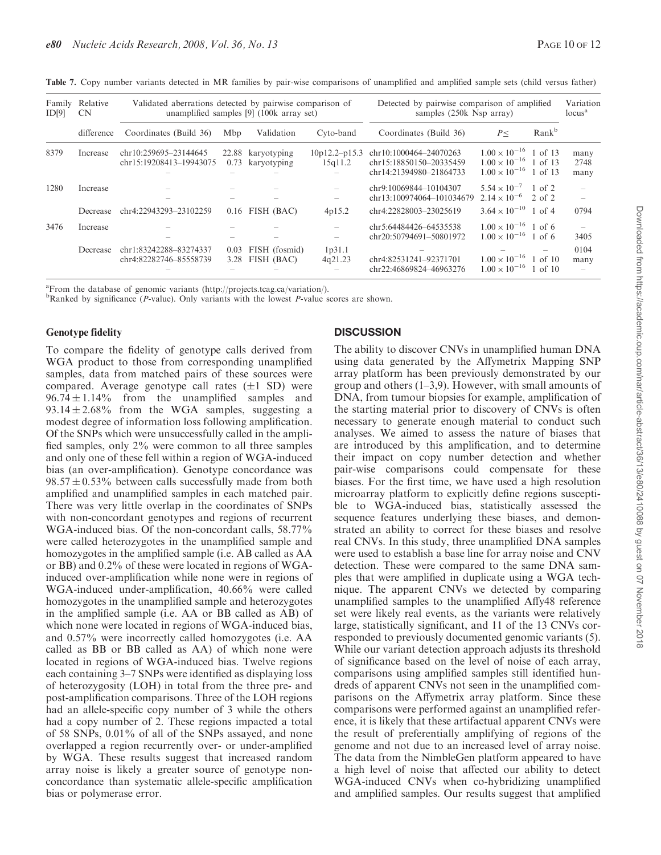| Table 7. Copy number variants detected in MR families by pair-wise comparisons of unamplified and amplified sample sets (child versus father) |  |  |  |  |  |  |  |  |  |
|-----------------------------------------------------------------------------------------------------------------------------------------------|--|--|--|--|--|--|--|--|--|
|-----------------------------------------------------------------------------------------------------------------------------------------------|--|--|--|--|--|--|--|--|--|

| Family<br>ID[9] | Relative<br><b>CN</b> | Validated aberrations detected by pairwise comparison of<br>unamplified samples [9] (100k array set) |      |                                       |                            | Detected by pairwise comparison of amplified<br>samples (250k Nsp array)     | Variation<br>locus <sup>a</sup>                                                                    |                   |                      |
|-----------------|-----------------------|------------------------------------------------------------------------------------------------------|------|---------------------------------------|----------------------------|------------------------------------------------------------------------------|----------------------------------------------------------------------------------------------------|-------------------|----------------------|
|                 | difference            | Coordinates (Build 36)                                                                               | Mbp  | Validation                            | Cyto-band                  | Coordinates (Build 36)                                                       | P<                                                                                                 | Rank <sup>b</sup> |                      |
| 8379            | Increase              | chr10:259695-23144645<br>chr15:19208413-19943075                                                     |      | 22.88 karyotyping<br>0.73 karyotyping | $10p12.2-p15.3$<br>15q11.2 | chr10:1000464-24070263<br>chr15:18850150-20335459<br>chr14:21394980-21864733 | $1.00 \times 10^{-16}$ 1 of 13<br>$1.00 \times 10^{-16}$ 1 of 13<br>$1.00 \times 10^{-16}$ 1 of 13 |                   | many<br>2748<br>many |
| 1280            | Increase              |                                                                                                      |      |                                       |                            | chr9:10069844-10104307<br>chr13:100974064-101034679                          | $5.54 \times 10^{-7}$<br>$2.14 \times 10^{-6}$ 2 of 2                                              | $1$ of 2          |                      |
|                 | Decrease              | chr4:22943293-23102259                                                                               |      | $0.16$ FISH (BAC)                     | 4p15.2                     | chr4:22828003-23025619                                                       | $3.64 \times 10^{-10}$ 1 of 4                                                                      |                   | 0794                 |
| 3476            | Increase              |                                                                                                      |      |                                       |                            | chr5:64484426-64535538<br>chr20:50794691-50801972                            | $1.00 \times 10^{-16}$ 1 of 6<br>$1.00 \times 10^{-16}$ 1 of 6                                     |                   | 3405                 |
|                 | Decrease              | chr1:83242288-83274337<br>chr4:82282746-85558739                                                     | 0.03 | FISH (fosmid)<br>3.28 FISH (BAC)      | 1p31.1<br>4q21.23          | chr4:82531241-92371701<br>chr22:46869824-46963276                            | $1.00 \times 10^{-16}$ 1 of 10<br>$1.00 \times 10^{-16}$ 1 of 10                                   |                   | 0104<br>many         |

<sup>a</sup> From the database of genomic variants (http://projects.tcag.ca/variation/).

<sup>b</sup>Ranked by significance (*P*-value). Only variants with the lowest *P*-value scores are shown.

#### Genotype fidelity

To compare the fidelity of genotype calls derived from WGA product to those from corresponding unamplified samples, data from matched pairs of these sources were compared. Average genotype call rates  $(\pm 1 \text{ SD})$  were  $96.74 \pm 1.14\%$  from the unamplified samples and  $93.14 \pm 2.68\%$  from the WGA samples, suggesting a modest degree of information loss following amplification. Of the SNPs which were unsuccessfully called in the amplified samples, only 2% were common to all three samples and only one of these fell within a region of WGA-induced bias (an over-amplification). Genotype concordance was  $98.57 \pm 0.53\%$  between calls successfully made from both amplified and unamplified samples in each matched pair. There was very little overlap in the coordinates of SNPs with non-concordant genotypes and regions of recurrent WGA-induced bias. Of the non-concordant calls, 58.77% were called heterozygotes in the unamplified sample and homozygotes in the amplified sample (i.e. AB called as AA or BB) and 0.2% of these were located in regions of WGAinduced over-amplification while none were in regions of WGA-induced under-amplification, 40.66% were called homozygotes in the unamplified sample and heterozygotes in the amplified sample (i.e. AA or BB called as AB) of which none were located in regions of WGA-induced bias, and 0.57% were incorrectly called homozygotes (i.e. AA called as BB or BB called as AA) of which none were located in regions of WGA-induced bias. Twelve regions each containing 3–7 SNPs were identified as displaying loss of heterozygosity (LOH) in total from the three pre- and post-amplification comparisons. Three of the LOH regions had an allele-specific copy number of 3 while the others had a copy number of 2. These regions impacted a total of 58 SNPs, 0.01% of all of the SNPs assayed, and none overlapped a region recurrently over- or under-amplified by WGA. These results suggest that increased random array noise is likely a greater source of genotype nonconcordance than systematic allele-specific amplification bias or polymerase error.

## **DISCUSSION**

The ability to discover CNVs in unamplified human DNA using data generated by the Affymetrix Mapping SNP array platform has been previously demonstrated by our group and others (1–3,9). However, with small amounts of DNA, from tumour biopsies for example, amplification of the starting material prior to discovery of CNVs is often necessary to generate enough material to conduct such analyses. We aimed to assess the nature of biases that are introduced by this amplification, and to determine their impact on copy number detection and whether pair-wise comparisons could compensate for these biases. For the first time, we have used a high resolution microarray platform to explicitly define regions susceptible to WGA-induced bias, statistically assessed the sequence features underlying these biases, and demonstrated an ability to correct for these biases and resolve real CNVs. In this study, three unamplified DNA samples were used to establish a base line for array noise and CNV detection. These were compared to the same DNA samples that were amplified in duplicate using a WGA technique. The apparent CNVs we detected by comparing unamplified samples to the unamplified Affy48 reference set were likely real events, as the variants were relatively large, statistically significant, and 11 of the 13 CNVs corresponded to previously documented genomic variants (5). While our variant detection approach adjusts its threshold of significance based on the level of noise of each array, comparisons using amplified samples still identified hundreds of apparent CNVs not seen in the unamplified comparisons on the Affymetrix array platform. Since these comparisons were performed against an unamplified reference, it is likely that these artifactual apparent CNVs were the result of preferentially amplifying of regions of the genome and not due to an increased level of array noise. The data from the NimbleGen platform appeared to have a high level of noise that affected our ability to detect WGA-induced CNVs when co-hybridizing unamplified and amplified samples. Our results suggest that amplified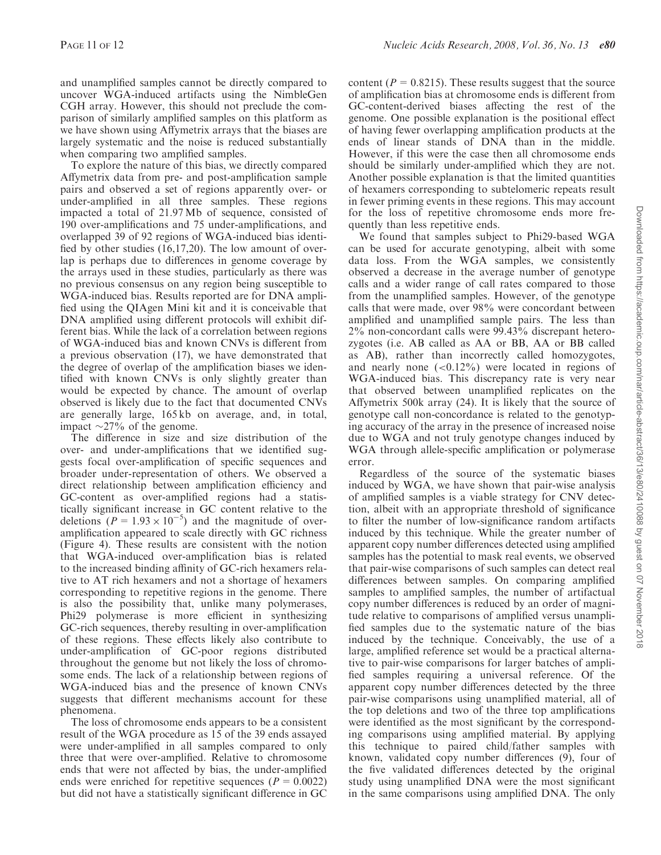and unamplified samples cannot be directly compared to uncover WGA-induced artifacts using the NimbleGen CGH array. However, this should not preclude the comparison of similarly amplified samples on this platform as we have shown using Affymetrix arrays that the biases are largely systematic and the noise is reduced substantially when comparing two amplified samples.

To explore the nature of this bias, we directly compared Affymetrix data from pre- and post-amplification sample pairs and observed a set of regions apparently over- or under-amplified in all three samples. These regions impacted a total of 21.97 Mb of sequence, consisted of 190 over-amplifications and 75 under-amplifications, and overlapped 39 of 92 regions of WGA-induced bias identified by other studies (16,17,20). The low amount of overlap is perhaps due to differences in genome coverage by the arrays used in these studies, particularly as there was no previous consensus on any region being susceptible to WGA-induced bias. Results reported are for DNA amplified using the QIAgen Mini kit and it is conceivable that DNA amplified using different protocols will exhibit different bias. While the lack of a correlation between regions of WGA-induced bias and known CNVs is different from a previous observation (17), we have demonstrated that the degree of overlap of the amplification biases we identified with known CNVs is only slightly greater than would be expected by chance. The amount of overlap observed is likely due to the fact that documented CNVs are generally large, 165 kb on average, and, in total, impact  $\sim$ 27% of the genome.

The difference in size and size distribution of the over- and under-amplifications that we identified suggests focal over-amplification of specific sequences and broader under-representation of others. We observed a direct relationship between amplification efficiency and GC-content as over-amplified regions had a statistically significant increase in GC content relative to the deletions ( $P = 1.93 \times 10^{-5}$ ) and the magnitude of overamplification appeared to scale directly with GC richness (Figure 4). These results are consistent with the notion that WGA-induced over-amplification bias is related to the increased binding affinity of GC-rich hexamers relative to AT rich hexamers and not a shortage of hexamers corresponding to repetitive regions in the genome. There is also the possibility that, unlike many polymerases, Phi29 polymerase is more efficient in synthesizing GC-rich sequences, thereby resulting in over-amplification of these regions. These effects likely also contribute to under-amplification of GC-poor regions distributed throughout the genome but not likely the loss of chromosome ends. The lack of a relationship between regions of WGA-induced bias and the presence of known CNVs suggests that different mechanisms account for these phenomena.

The loss of chromosome ends appears to be a consistent result of the WGA procedure as 15 of the 39 ends assayed were under-amplified in all samples compared to only three that were over-amplified. Relative to chromosome ends that were not affected by bias, the under-amplified ends were enriched for repetitive sequences ( $P = 0.0022$ ) but did not have a statistically significant difference in GC content ( $P = 0.8215$ ). These results suggest that the source of amplification bias at chromosome ends is different from GC-content-derived biases affecting the rest of the genome. One possible explanation is the positional effect of having fewer overlapping amplification products at the ends of linear stands of DNA than in the middle. However, if this were the case then all chromosome ends should be similarly under-amplified which they are not. Another possible explanation is that the limited quantities of hexamers corresponding to subtelomeric repeats result in fewer priming events in these regions. This may account for the loss of repetitive chromosome ends more frequently than less repetitive ends.

We found that samples subject to Phi29-based WGA can be used for accurate genotyping, albeit with some data loss. From the WGA samples, we consistently observed a decrease in the average number of genotype calls and a wider range of call rates compared to those from the unamplified samples. However, of the genotype calls that were made, over 98% were concordant between amplified and unamplified sample pairs. The less than  $2\%$  non-concordant calls were  $99.43\%$  discrepant heterozygotes (i.e. AB called as AA or BB, AA or BB called as AB), rather than incorrectly called homozygotes, and nearly none  $( $0.12\%$ )$  were located in regions of WGA-induced bias. This discrepancy rate is very near that observed between unamplified replicates on the Affymetrix 500k array (24). It is likely that the source of genotype call non-concordance is related to the genotyping accuracy of the array in the presence of increased noise due to WGA and not truly genotype changes induced by WGA through allele-specific amplification or polymerase error.

Regardless of the source of the systematic biases induced by WGA, we have shown that pair-wise analysis of amplified samples is a viable strategy for CNV detection, albeit with an appropriate threshold of significance to filter the number of low-significance random artifacts induced by this technique. While the greater number of apparent copy number differences detected using amplified samples has the potential to mask real events, we observed that pair-wise comparisons of such samples can detect real differences between samples. On comparing amplified samples to amplified samples, the number of artifactual copy number differences is reduced by an order of magnitude relative to comparisons of amplified versus unamplified samples due to the systematic nature of the bias induced by the technique. Conceivably, the use of a large, amplified reference set would be a practical alternative to pair-wise comparisons for larger batches of amplified samples requiring a universal reference. Of the apparent copy number differences detected by the three pair-wise comparisons using unamplified material, all of the top deletions and two of the three top amplifications were identified as the most significant by the corresponding comparisons using amplified material. By applying this technique to paired child/father samples with known, validated copy number differences (9), four of the five validated differences detected by the original study using unamplified DNA were the most significant in the same comparisons using amplified DNA. The only